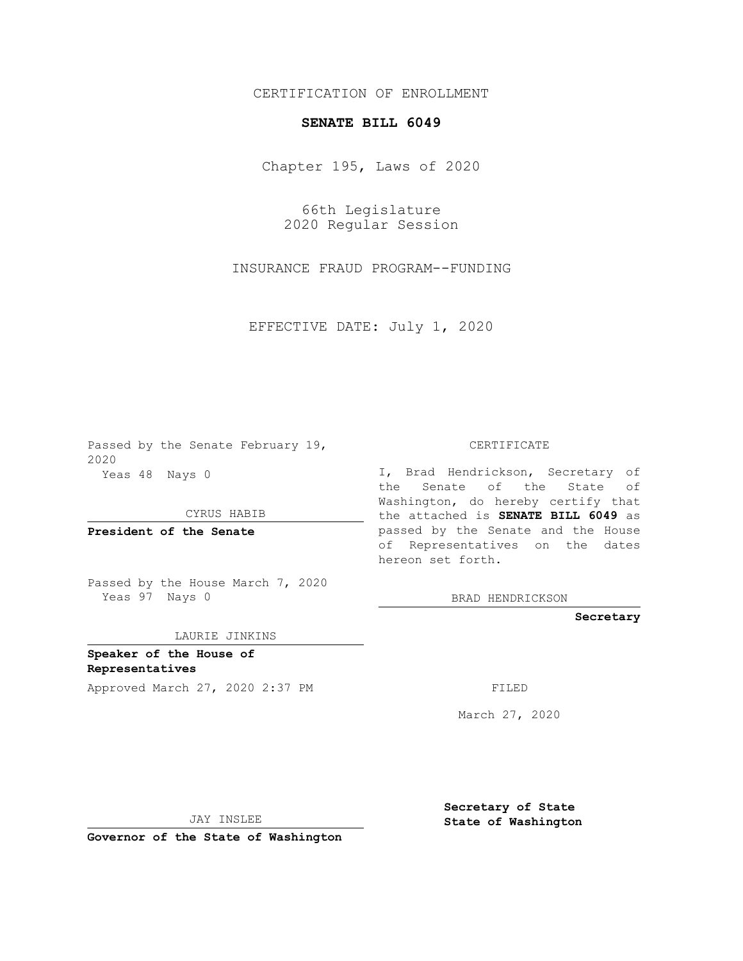## CERTIFICATION OF ENROLLMENT

## **SENATE BILL 6049**

Chapter 195, Laws of 2020

66th Legislature 2020 Regular Session

INSURANCE FRAUD PROGRAM--FUNDING

EFFECTIVE DATE: July 1, 2020

Passed by the Senate February 19, 2020 Yeas 48 Nays 0

CYRUS HABIB

**President of the Senate**

Passed by the House March 7, 2020 Yeas 97 Nays 0

## LAURIE JINKINS

**Speaker of the House of Representatives**

Approved March 27, 2020 2:37 PM

CERTIFICATE

I, Brad Hendrickson, Secretary of the Senate of the State of Washington, do hereby certify that the attached is **SENATE BILL 6049** as passed by the Senate and the House of Representatives on the dates hereon set forth.

BRAD HENDRICKSON

**Secretary**

March 27, 2020

JAY INSLEE

**Governor of the State of Washington**

**Secretary of State State of Washington**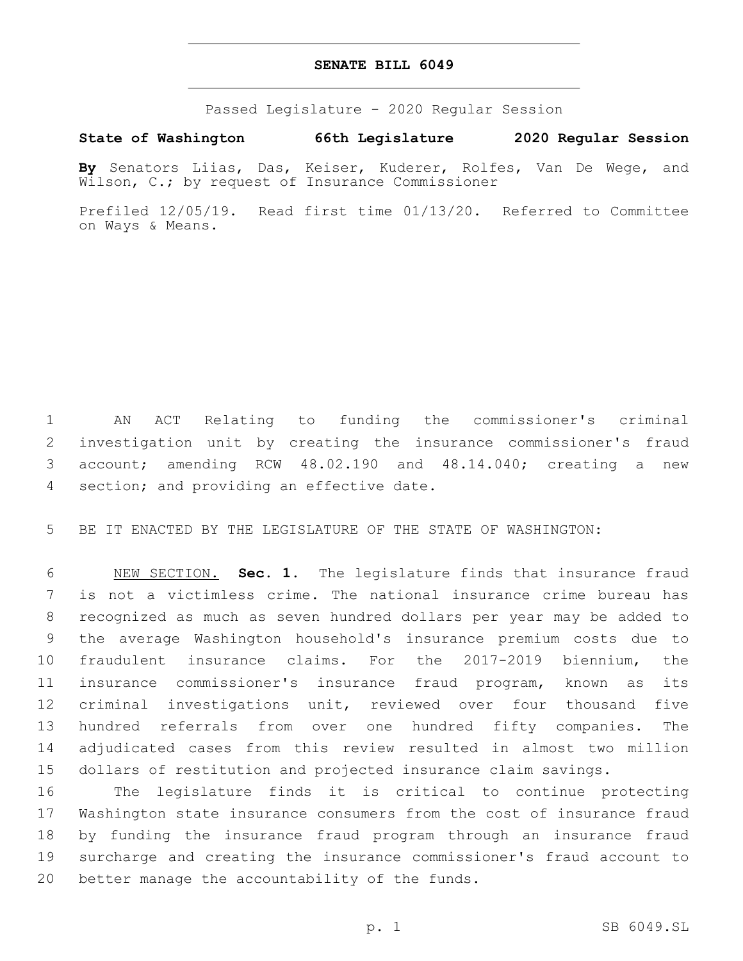## **SENATE BILL 6049**

Passed Legislature - 2020 Regular Session

**State of Washington 66th Legislature 2020 Regular Session**

**By** Senators Liias, Das, Keiser, Kuderer, Rolfes, Van De Wege, and Wilson, C.; by request of Insurance Commissioner

Prefiled 12/05/19. Read first time 01/13/20. Referred to Committee on Ways & Means.

 AN ACT Relating to funding the commissioner's criminal investigation unit by creating the insurance commissioner's fraud account; amending RCW 48.02.190 and 48.14.040; creating a new 4 section; and providing an effective date.

BE IT ENACTED BY THE LEGISLATURE OF THE STATE OF WASHINGTON:

 NEW SECTION. **Sec. 1.** The legislature finds that insurance fraud is not a victimless crime. The national insurance crime bureau has recognized as much as seven hundred dollars per year may be added to the average Washington household's insurance premium costs due to fraudulent insurance claims. For the 2017-2019 biennium, the insurance commissioner's insurance fraud program, known as its criminal investigations unit, reviewed over four thousand five hundred referrals from over one hundred fifty companies. The adjudicated cases from this review resulted in almost two million dollars of restitution and projected insurance claim savings.

 The legislature finds it is critical to continue protecting Washington state insurance consumers from the cost of insurance fraud by funding the insurance fraud program through an insurance fraud surcharge and creating the insurance commissioner's fraud account to 20 better manage the accountability of the funds.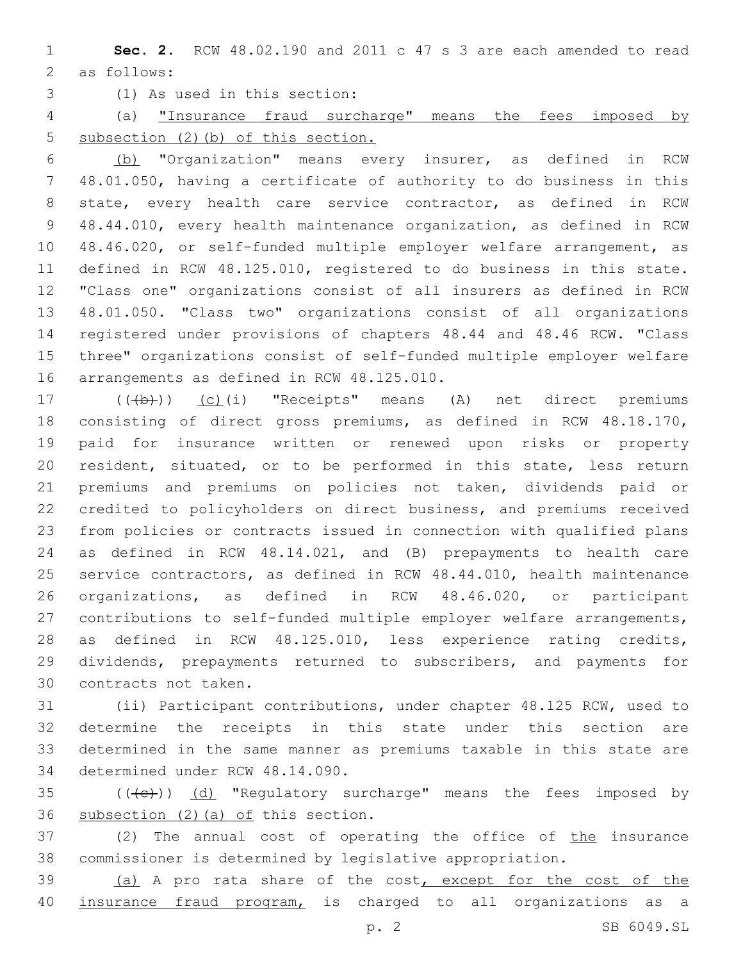**Sec. 2.** RCW 48.02.190 and 2011 c 47 s 3 are each amended to read 2 as follows:

(1) As used in this section:3

 (a) "Insurance fraud surcharge" means the fees imposed by 5 subsection (2)(b) of this section.

 (b) "Organization" means every insurer, as defined in RCW 48.01.050, having a certificate of authority to do business in this state, every health care service contractor, as defined in RCW 48.44.010, every health maintenance organization, as defined in RCW 48.46.020, or self-funded multiple employer welfare arrangement, as defined in RCW 48.125.010, registered to do business in this state. "Class one" organizations consist of all insurers as defined in RCW 48.01.050. "Class two" organizations consist of all organizations registered under provisions of chapters 48.44 and 48.46 RCW. "Class three" organizations consist of self-funded multiple employer welfare 16 arrangements as defined in RCW 48.125.010.

17 (((b)) (c)(i) "Receipts" means (A) net direct premiums consisting of direct gross premiums, as defined in RCW 48.18.170, paid for insurance written or renewed upon risks or property resident, situated, or to be performed in this state, less return premiums and premiums on policies not taken, dividends paid or credited to policyholders on direct business, and premiums received from policies or contracts issued in connection with qualified plans as defined in RCW 48.14.021, and (B) prepayments to health care service contractors, as defined in RCW 48.44.010, health maintenance organizations, as defined in RCW 48.46.020, or participant contributions to self-funded multiple employer welfare arrangements, as defined in RCW 48.125.010, less experience rating credits, dividends, prepayments returned to subscribers, and payments for 30 contracts not taken.

 (ii) Participant contributions, under chapter 48.125 RCW, used to determine the receipts in this state under this section are determined in the same manner as premiums taxable in this state are 34 determined under RCW 48.14.090.

35 (((e)) (d) "Regulatory surcharge" means the fees imposed by 36 subsection  $(2)$  (a) of this section.

37 (2) The annual cost of operating the office of the insurance commissioner is determined by legislative appropriation.

39 (a) A pro rata share of the cost, except for the cost of the 40 insurance fraud program, is charged to all organizations as a

p. 2 SB 6049.SL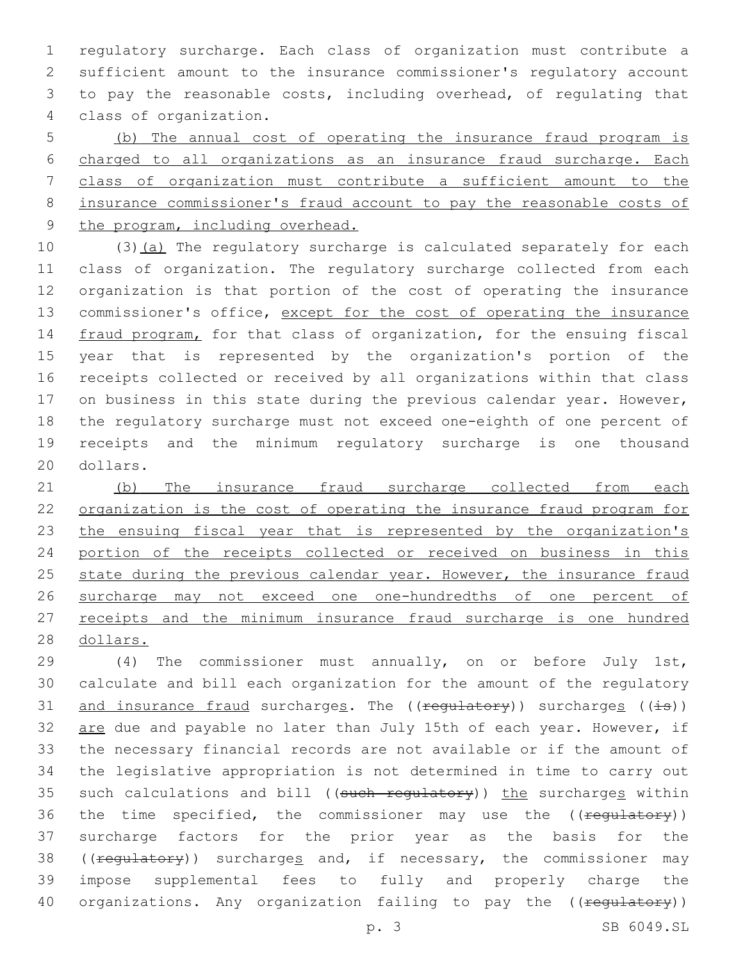regulatory surcharge. Each class of organization must contribute a sufficient amount to the insurance commissioner's regulatory account to pay the reasonable costs, including overhead, of regulating that class of organization.4

 (b) The annual cost of operating the insurance fraud program is charged to all organizations as an insurance fraud surcharge. Each class of organization must contribute a sufficient amount to the insurance commissioner's fraud account to pay the reasonable costs of 9 the program, including overhead.

10 (3)(a) The regulatory surcharge is calculated separately for each class of organization. The regulatory surcharge collected from each organization is that portion of the cost of operating the insurance commissioner's office, except for the cost of operating the insurance 14 fraud program, for that class of organization, for the ensuing fiscal year that is represented by the organization's portion of the receipts collected or received by all organizations within that class 17 on business in this state during the previous calendar year. However, the regulatory surcharge must not exceed one-eighth of one percent of receipts and the minimum regulatory surcharge is one thousand 20 dollars.

21 (b) The insurance fraud surcharge collected from each 22 organization is the cost of operating the insurance fraud program for 23 the ensuing fiscal year that is represented by the organization's 24 portion of the receipts collected or received on business in this 25 state during the previous calendar year. However, the insurance fraud 26 surcharge may not exceed one one-hundredths of one percent of 27 receipts and the minimum insurance fraud surcharge is one hundred 28 dollars.

29 (4) The commissioner must annually, on or before July 1st, 30 calculate and bill each organization for the amount of the regulatory 31 and insurance fraud surcharges. The  $((\text{regularity}))$  surcharges  $((\pm s))$ 32 are due and payable no later than July 15th of each year. However, if 33 the necessary financial records are not available or if the amount of 34 the legislative appropriation is not determined in time to carry out 35 such calculations and bill ((such regulatory)) the surcharges within 36 the time specified, the commissioner may use the ((regulatory)) 37 surcharge factors for the prior year as the basis for the 38 ((regulatory)) surcharges and, if necessary, the commissioner may 39 impose supplemental fees to fully and properly charge the 40 organizations. Any organization failing to pay the ((regulatory))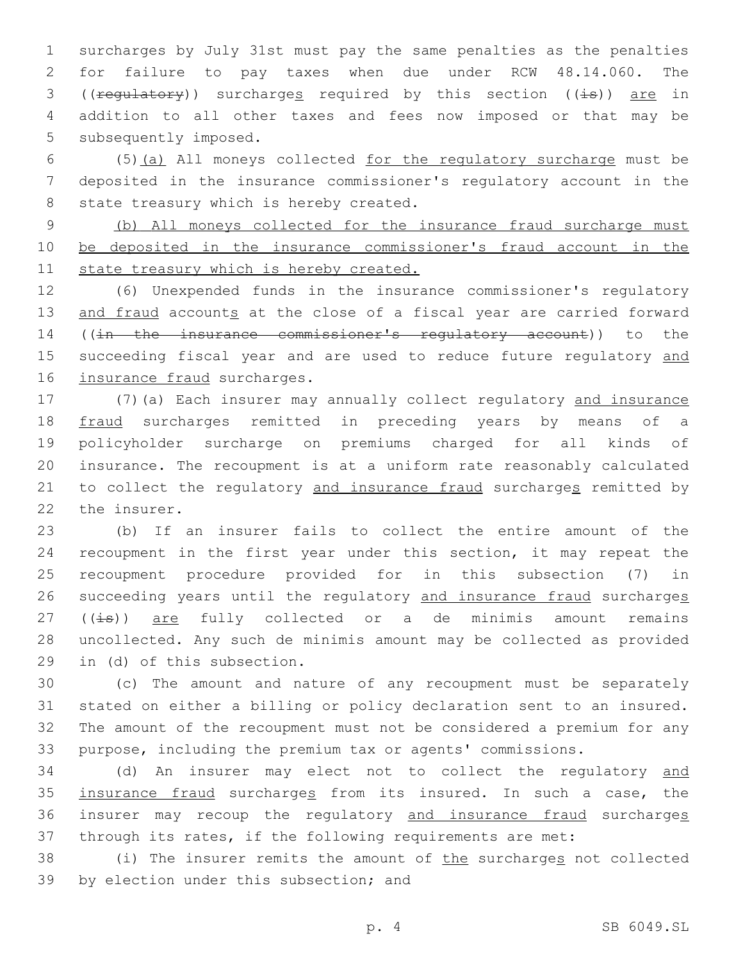1 surcharges by July 31st must pay the same penalties as the penalties 2 for failure to pay taxes when due under RCW 48.14.060. The 3 (( $\text{regularity}$ ) surcharges required by this section (( $\pm$ s)) are in 4 addition to all other taxes and fees now imposed or that may be 5 subsequently imposed.

6 (5)(a) All moneys collected for the regulatory surcharge must be 7 deposited in the insurance commissioner's regulatory account in the 8 state treasury which is hereby created.

9 (b) All moneys collected for the insurance fraud surcharge must 10 be deposited in the insurance commissioner's fraud account in the 11 state treasury which is hereby created.

12 (6) Unexpended funds in the insurance commissioner's regulatory 13 and fraud accounts at the close of a fiscal year are carried forward 14 ((in the insurance commissioner's regulatory account)) to the 15 succeeding fiscal year and are used to reduce future regulatory and 16 insurance fraud surcharges.

 (7)(a) Each insurer may annually collect regulatory and insurance fraud surcharges remitted in preceding years by means of a policyholder surcharge on premiums charged for all kinds of insurance. The recoupment is at a uniform rate reasonably calculated 21 to collect the regulatory and insurance fraud surcharges remitted by 22 the insurer.

 (b) If an insurer fails to collect the entire amount of the recoupment in the first year under this section, it may repeat the recoupment procedure provided for in this subsection (7) in succeeding years until the regulatory and insurance fraud surcharges  $((\pm \Theta))$  are fully collected or a de minimis amount remains uncollected. Any such de minimis amount may be collected as provided 29 in (d) of this subsection.

 (c) The amount and nature of any recoupment must be separately stated on either a billing or policy declaration sent to an insured. The amount of the recoupment must not be considered a premium for any purpose, including the premium tax or agents' commissions.

34 (d) An insurer may elect not to collect the regulatory and 35 insurance fraud surcharges from its insured. In such a case, the 36 insurer may recoup the regulatory and insurance fraud surcharges 37 through its rates, if the following requirements are met:

38 (i) The insurer remits the amount of the surcharges not collected 39 by election under this subsection; and